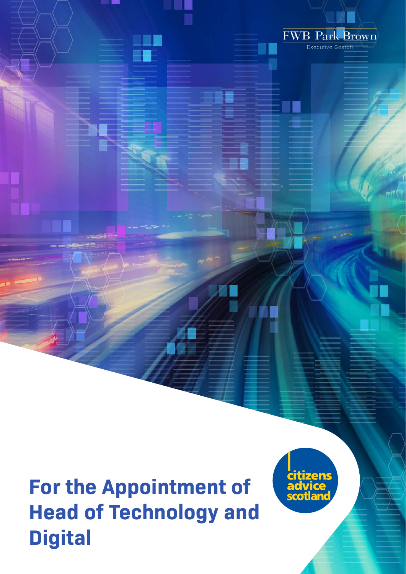



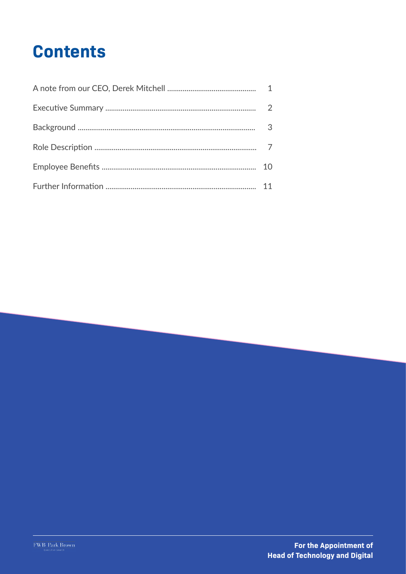# **Contents**

| $\overline{2}$ |
|----------------|
| $\cdot$ 3      |
|                |
| 10             |
| 11             |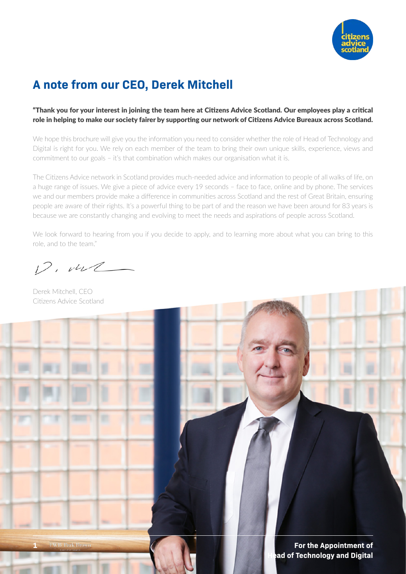

## **A note from our CEO, Derek Mitchell**

#### "Thank you for your interest in joining the team here at Citizens Advice Scotland. Our employees play a critical role in helping to make our society fairer by supporting our network of Citizens Advice Bureaux across Scotland.

We hope this brochure will give you the information you need to consider whether the role of Head of Technology and Digital is right for you. We rely on each member of the team to bring their own unique skills, experience, views and commitment to our goals – it's that combination which makes our organisation what it is.

The Citizens Advice network in Scotland provides much-needed advice and information to people of all walks of life, on a huge range of issues. We give a piece of advice every 19 seconds – face to face, online and by phone. The services we and our members provide make a difference in communities across Scotland and the rest of Great Britain, ensuring people are aware of their rights. It's a powerful thing to be part of and the reason we have been around for 83 years is because we are constantly changing and evolving to meet the needs and aspirations of people across Scotland.

We look forward to hearing from you if you decide to apply, and to learning more about what you can bring to this role, and to the team."

 $12.442$ 

Derek Mitchell, CEO Citizens Advice Scotland

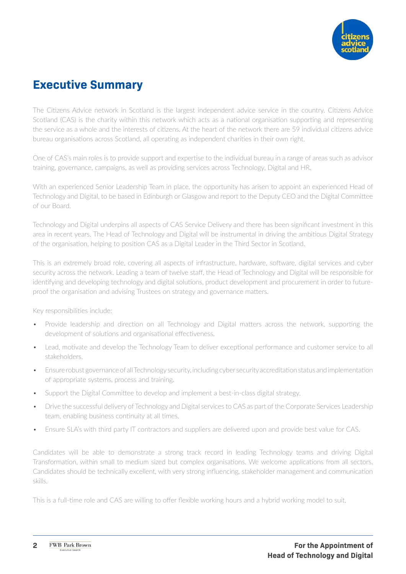

## **Executive Summary**

The Citizens Advice network in Scotland is the largest independent advice service in the country. Citizens Advice Scotland (CAS) is the charity within this network which acts as a national organisation supporting and representing the service as a whole and the interests of citizens. At the heart of the network there are 59 individual citizens advice bureau organisations across Scotland, all operating as independent charities in their own right.

One of CAS's main roles is to provide support and expertise to the individual bureau in a range of areas such as advisor training, governance, campaigns, as well as providing services across Technology, Digital and HR.

With an experienced Senior Leadership Team in place, the opportunity has arisen to appoint an experienced Head of Technology and Digital, to be based in Edinburgh or Glasgow and report to the Deputy CEO and the Digital Committee of our Board.

Technology and Digital underpins all aspects of CAS Service Delivery and there has been significant investment in this area in recent years. The Head of Technology and Digital will be instrumental in driving the ambitious Digital Strategy of the organisation, helping to position CAS as a Digital Leader in the Third Sector in Scotland.

This is an extremely broad role, covering all aspects of infrastructure, hardware, software, digital services and cyber security across the network. Leading a team of twelve staff, the Head of Technology and Digital will be responsible for identifying and developing technology and digital solutions, product development and procurement in order to futureproof the organisation and advising Trustees on strategy and governance matters.

Key responsibilities include:

- Provide leadership and direction on all Technology and Digital matters across the network, supporting the development of solutions and organisational effectiveness.
- Lead, motivate and develop the Technology Team to deliver exceptional performance and customer service to all stakeholders.
- Ensure robust governance of all Technology security, including cyber security accreditation status and implementation of appropriate systems, process and training.
- Support the Digital Committee to develop and implement a best-in-class digital strategy.
- Drive the successful delivery of Technology and Digital services to CAS as part of the Corporate Services Leadership team, enabling business continuity at all times.
- Ensure SLA's with third party IT contractors and suppliers are delivered upon and provide best value for CAS.

Candidates will be able to demonstrate a strong track record in leading Technology teams and driving Digital Transformation, within small to medium sized but complex organisations. We welcome applications from all sectors. Candidates should be technically excellent, with very strong influencing, stakeholder management and communication skills.

This is a full-time role and CAS are willing to offer flexible working hours and a hybrid working model to suit.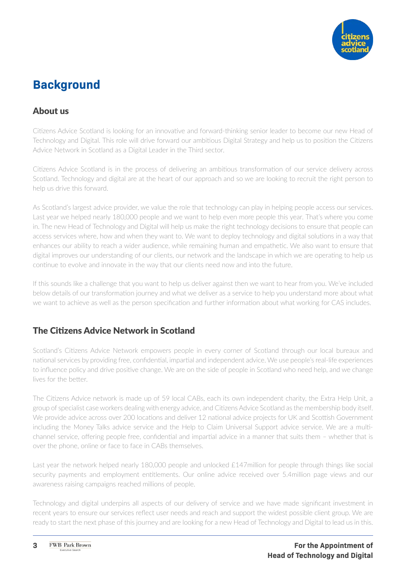

## **Background**

### About us

Citizens Advice Scotland is looking for an innovative and forward-thinking senior leader to become our new Head of Technology and Digital. This role will drive forward our ambitious Digital Strategy and help us to position the Citizens Advice Network in Scotland as a Digital Leader in the Third sector.

Citizens Advice Scotland is in the process of delivering an ambitious transformation of our service delivery across Scotland. Technology and digital are at the heart of our approach and so we are looking to recruit the right person to help us drive this forward.

As Scotland's largest advice provider, we value the role that technology can play in helping people access our services. Last year we helped nearly 180,000 people and we want to help even more people this year. That's where you come in. The new Head of Technology and Digital will help us make the right technology decisions to ensure that people can access services where, how and when they want to. We want to deploy technology and digital solutions in a way that enhances our ability to reach a wider audience, while remaining human and empathetic. We also want to ensure that digital improves our understanding of our clients, our network and the landscape in which we are operating to help us continue to evolve and innovate in the way that our clients need now and into the future.

If this sounds like a challenge that you want to help us deliver against then we want to hear from you. We've included below details of our transformation journey and what we deliver as a service to help you understand more about what we want to achieve as well as the person specification and further information about what working for CAS includes.

### The Citizens Advice Network in Scotland

Scotland's Citizens Advice Network empowers people in every corner of Scotland through our local bureaux and national services by providing free, confidential, impartial and independent advice. We use people's real-life experiences to influence policy and drive positive change. We are on the side of people in Scotland who need help, and we change lives for the better.

The Citizens Advice network is made up of 59 local CABs, each its own independent charity, the Extra Help Unit, a group of specialist case workers dealing with energy advice, and Citizens Advice Scotland as the membership body itself. We provide advice across over 200 locations and deliver 12 national advice projects for UK and Scottish Government including the Money Talks advice service and the Help to Claim Universal Support advice service. We are a multichannel service, offering people free, confidential and impartial advice in a manner that suits them – whether that is over the phone, online or face to face in CABs themselves.

Last year the network helped nearly 180,000 people and unlocked £147million for people through things like social security payments and employment entitlements. Our online advice received over 5.4million page views and our awareness raising campaigns reached millions of people.

Technology and digital underpins all aspects of our delivery of service and we have made significant investment in recent years to ensure our services reflect user needs and reach and support the widest possible client group. We are ready to start the next phase of this journey and are looking for a new Head of Technology and Digital to lead us in this.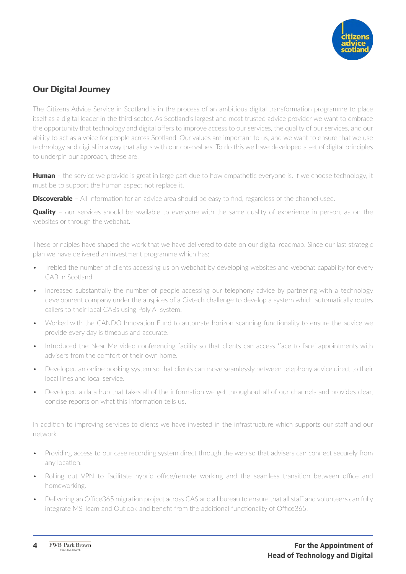

### Our Digital Journey

The Citizens Advice Service in Scotland is in the process of an ambitious digital transformation programme to place itself as a digital leader in the third sector. As Scotland's largest and most trusted advice provider we want to embrace the opportunity that technology and digital offers to improve access to our services, the quality of our services, and our ability to act as a voice for people across Scotland. Our values are important to us, and we want to ensure that we use technology and digital in a way that aligns with our core values. To do this we have developed a set of digital principles to underpin our approach, these are:

**Human** – the service we provide is great in large part due to how empathetic everyone is. If we choose technology, it must be to support the human aspect not replace it.

**Discoverable** – All information for an advice area should be easy to find, regardless of the channel used.

**Quality** - our services should be available to everyone with the same quality of experience in person, as on the websites or through the webchat.

These principles have shaped the work that we have delivered to date on our digital roadmap. Since our last strategic plan we have delivered an investment programme which has;

- Trebled the number of clients accessing us on webchat by developing websites and webchat capability for every CAB in Scotland
- Increased substantially the number of people accessing our telephony advice by partnering with a technology development company under the auspices of a Civtech challenge to develop a system which automatically routes callers to their local CABs using Poly AI system.
- Worked with the CANDO Innovation Fund to automate horizon scanning functionality to ensure the advice we provide every day is timeous and accurate.
- Introduced the Near Me video conferencing facility so that clients can access 'face to face' appointments with advisers from the comfort of their own home.
- Developed an online booking system so that clients can move seamlessly between telephony advice direct to their local lines and local service.
- Developed a data hub that takes all of the information we get throughout all of our channels and provides clear, concise reports on what this information tells us.

In addition to improving services to clients we have invested in the infrastructure which supports our staff and our network.

- Providing access to our case recording system direct through the web so that advisers can connect securely from any location.
- Rolling out VPN to facilitate hybrid office/remote working and the seamless transition between office and homeworking.
- Delivering an Office365 migration project across CAS and all bureau to ensure that all staff and volunteers can fully integrate MS Team and Outlook and benefit from the additional functionality of Office365.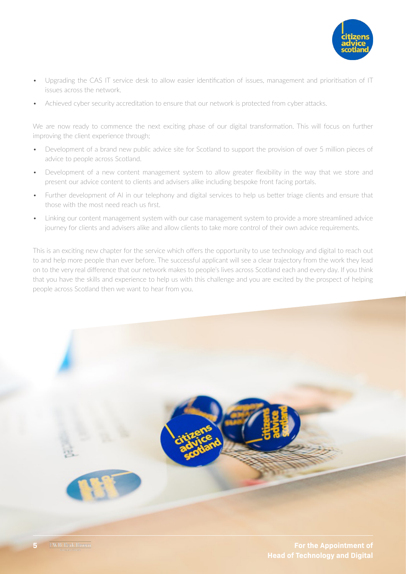

- Upgrading the CAS IT service desk to allow easier identification of issues, management and prioritisation of IT issues across the network.
- Achieved cyber security accreditation to ensure that our network is protected from cyber attacks.

We are now ready to commence the next exciting phase of our digital transformation. This will focus on further improving the client experience through;

- Development of a brand new public advice site for Scotland to support the provision of over 5 million pieces of advice to people across Scotland.
- Development of a new content management system to allow greater flexibility in the way that we store and present our advice content to clients and advisers alike including bespoke front facing portals.
- Further development of AI in our telephony and digital services to help us better triage clients and ensure that those with the most need reach us first.
- Linking our content management system with our case management system to provide a more streamlined advice journey for clients and advisers alike and allow clients to take more control of their own advice requirements.

This is an exciting new chapter for the service which offers the opportunity to use technology and digital to reach out to and help more people than ever before. The successful applicant will see a clear trajectory from the work they lead on to the very real difference that our network makes to people's lives across Scotland each and every day. If you think that you have the skills and experience to help us with this challenge and you are excited by the prospect of helping people across Scotland then we want to hear from you.



**5 For the Appointment of Head of Technology and Digital**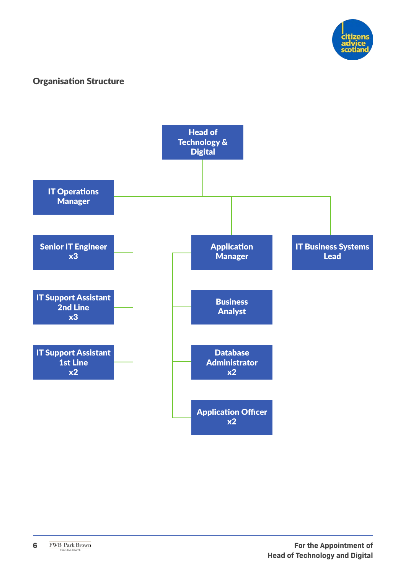

### Organisation Structure

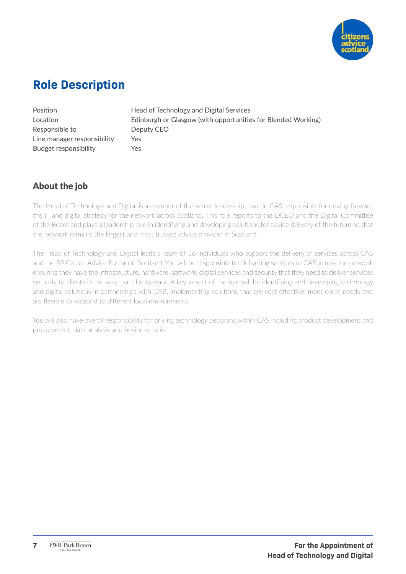

## **Role Description**

Responsible to Deputy CEO Line manager responsibility Yes Budget responsibility Yes

Position **Head of Technology and Digital Services** Location Edinburgh or Glasgow (with opportunities for Blended Working)

## About the job

The Head of Technology and Digital is a member of the senior leadership team in CAS responsible for driving forward the IT and digital strategy for the network across Scotland. This role reports to the DCEO and the Digital Committee of the Board and plays a leadership role in identifying and developing solutions for advice delivery of the future so that the network remains the largest and most trusted advice provider in Scotland.

The Head of Technology and Digital leads a team of 16 individuals who support the delivery of services across CAS and the 59 Citizen Advice Bureau in Scotland. You will be responsible for delivering services to CAB across the network ensuring they have the infrastructure, hardware, software, digital services and security that they need to deliver services securely to clients in the way that clients want. A key aspect of the role will be identifying and developing technology and digital solutions in partnerships with CAB, implementing solutions that are cost effective, meet client needs and are flexible to respond to different local environments.

You will also have overall responsibility for driving technology decisions within CAS including product development and procurement, data analysis and business tools.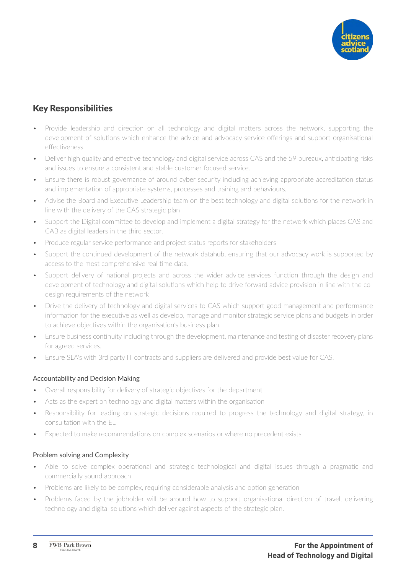

### Key Responsibilities

- Provide leadership and direction on all technology and digital matters across the network, supporting the development of solutions which enhance the advice and advocacy service offerings and support organisational effectiveness.
- Deliver high quality and effective technology and digital service across CAS and the 59 bureaux, anticipating risks and issues to ensure a consistent and stable customer focused service.
- Ensure there is robust governance of around cyber security including achieving appropriate accreditation status and implementation of appropriate systems, processes and training and behaviours.
- Advise the Board and Executive Leadership team on the best technology and digital solutions for the network in line with the delivery of the CAS strategic plan
- Support the Digital committee to develop and implement a digital strategy for the network which places CAS and CAB as digital leaders in the third sector.
- Produce regular service performance and project status reports for stakeholders
- Support the continued development of the network datahub, ensuring that our advocacy work is supported by access to the most comprehensive real time data.
- Support delivery of national projects and across the wider advice services function through the design and development of technology and digital solutions which help to drive forward advice provision in line with the codesign requirements of the network
- Drive the delivery of technology and digital services to CAS which support good management and performance information for the executive as well as develop, manage and monitor strategic service plans and budgets in order to achieve objectives within the organisation's business plan.
- Ensure business continuity including through the development, maintenance and testing of disaster recovery plans for agreed services.
- Ensure SLA's with 3rd party IT contracts and suppliers are delivered and provide best value for CAS.

#### Accountability and Decision Making

- Overall responsibility for delivery of strategic objectives for the department
- Acts as the expert on technology and digital matters within the organisation
- Responsibility for leading on strategic decisions required to progress the technology and digital strategy, in consultation with the ELT
- Expected to make recommendations on complex scenarios or where no precedent exists

#### Problem solving and Complexity

- Able to solve complex operational and strategic technological and digital issues through a pragmatic and commercially sound approach
- Problems are likely to be complex, requiring considerable analysis and option generation
- Problems faced by the jobholder will be around how to support organisational direction of travel, delivering technology and digital solutions which deliver against aspects of the strategic plan.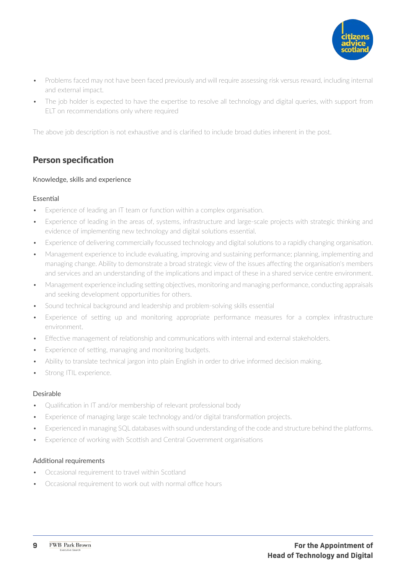

- Problems faced may not have been faced previously and will require assessing risk versus reward, including internal and external impact.
- The job holder is expected to have the expertise to resolve all technology and digital queries, with support from ELT on recommendations only where required

The above job description is not exhaustive and is clarified to include broad duties inherent in the post.

### Person specification

#### Knowledge, skills and experience

#### Essential

- Experience of leading an IT team or function within a complex organisation.
- Experience of leading in the areas of, systems, infrastructure and large-scale projects with strategic thinking and evidence of implementing new technology and digital solutions essential.
- Experience of delivering commercially focussed technology and digital solutions to a rapidly changing organisation.
- Management experience to include evaluating, improving and sustaining performance; planning, implementing and managing change. Ability to demonstrate a broad strategic view of the issues affecting the organisation's members and services and an understanding of the implications and impact of these in a shared service centre environment.
- Management experience including setting objectives, monitoring and managing performance, conducting appraisals and seeking development opportunities for others.
- Sound technical background and leadership and problem-solving skills essential
- Experience of setting up and monitoring appropriate performance measures for a complex infrastructure environment.
- Effective management of relationship and communications with internal and external stakeholders.
- Experience of setting, managing and monitoring budgets.
- Ability to translate technical jargon into plain English in order to drive informed decision making.
- Strong ITIL experience.

#### Desirable

- Qualification in IT and/or membership of relevant professional body
- Experience of managing large scale technology and/or digital transformation projects.
- Experienced in managing SQL databases with sound understanding of the code and structure behind the platforms.
- Experience of working with Scottish and Central Government organisations

#### Additional requirements

- Occasional requirement to travel within Scotland
- Occasional requirement to work out with normal office hours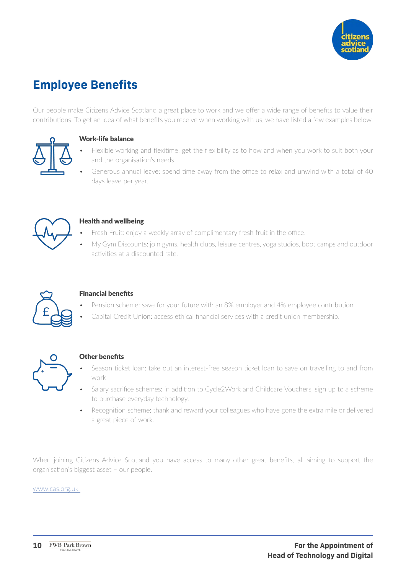

## **Employee Benefits**

Our people make Citizens Advice Scotland a great place to work and we offer a wide range of benefits to value their contributions. To get an idea of what benefits you receive when working with us, we have listed a few examples below.



#### Work-life balance

- Flexible working and flexitime: get the flexibility as to how and when you work to suit both your and the organisation's needs.
- Generous annual leave: spend time away from the office to relax and unwind with a total of 40 days leave per year.



#### Health and wellbeing

- Fresh Fruit: enjoy a weekly array of complimentary fresh fruit in the office.
- My Gym Discounts: join gyms, health clubs, leisure centres, yoga studios, boot camps and outdoor activities at a discounted rate.



#### Financial benefits

- Pension scheme: save for your future with an 8% employer and 4% employee contribution.
- Capital Credit Union: access ethical financial services with a credit union membership.



#### Other benefits

- Season ticket loan: take out an interest-free season ticket loan to save on travelling to and from work
- Salary sacrifice schemes: in addition to Cycle2Work and Childcare Vouchers, sign up to a scheme to purchase everyday technology.
- Recognition scheme: thank and reward your colleagues who have gone the extra mile or delivered a great piece of work.

When joining Citizens Advice Scotland you have access to many other great benefits, all aiming to support the organisation's biggest asset – our people.

[www.cas.org.uk](http://www.cas.org.uk )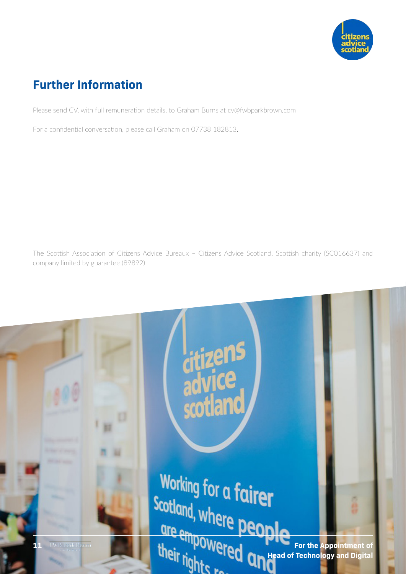

## **Further Information**

Please send CV, with full remuneration details, to Graham Burns at cv@fwbparkbrown.com

For a confidential conversation, please call Graham on 07738 182813.

The Scottish Association of Citizens Advice Bureaux – Citizens Advice Scotland. Scottish charity (SC016637) and company limited by guarantee (89892)